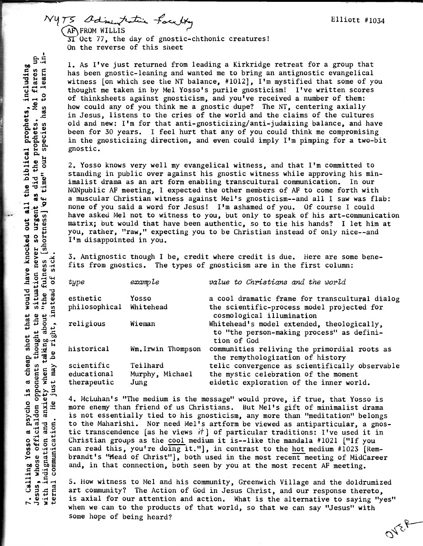NYTS Odinintative faculty AF FROM WILLIS  $3T$  Oct 77, the day of gnostic-chthonic creatures! On the reverse of this sheet

> 1. As I've just returned from leading a Kirkridge retreat for a group that has been gnostic-leaning and wanted me to bring an antignostic evangelical witness [on which see the NT balance, #1012], I'm mystified that some of you thought me taken in by Mel Yosso's purile gnosticism! I've written scores of thinksheets against gnosticism, and you've received a number of them: how could any of you think me a gnostic dupe? The NT, centering axially in Jesus, listens to the cries of the world and the claims of the cultures old and new: I'm for that anti-gnosticizing/anti-judaizing balance, and have been for 30 years. I feel hurt that any of you could think me compromising in the gnosticizing direction, and even could imply I'm pimping for a two-bit gnostic.

2. Yosso knows very well my evangelical witness, and that I'm committed to standing in public over against his gnostic witness while approving his minimalist drama as an art form enabling transcultural communication. In our NONpublic AF meeting, I expected the other members of AF to come forth with a muscular Christian witness against Mel's gnosticism--and all I saw was flab: none of you said a word for Jesus! I'm ashamed of you. Of course I could have asked Mel not to witness to you, but only to speak of his art-communication matrix; but would that have been authentic, so to tie his hands? I let him at you, rather, "raw," expecting you to be Christian instead of only nice--and I'm disappointed in you.

3. Antignostic though I be, credit where credit is due. Here are some benefits from gnostics. The types of gnosticism are in the first column:

| type                    | example           | value to Christians and the world                                                                      |
|-------------------------|-------------------|--------------------------------------------------------------------------------------------------------|
| esthetic<br>Yosso       |                   | a cool dramatic frame for transcultural dialog                                                         |
| philosophical Whitehead |                   | the scientific-process model projected for<br>cosmological illumination                                |
| religious               | Wieman            | Whitehead's model extended, theologically,<br>to "the person-making process" as defini-<br>tion of God |
| historical              | Wm.Irwin Thompson | communities reliving the primordial roots as<br>the remythologization of history                       |
| scientific              | Teilhard          | telic convergence as scientifically observable                                                         |
| educational             | Murphy, Michael   | the mystic celebration of the moment                                                                   |
| therapeutic<br>Jung     |                   | eidetic exploration of the inner world.                                                                |

4. McLuhan's "The medium is the message" would prove, if true, that Yosso is more enemy than friend of us Christians. But Mel's gift of minimalist drama is not essentially tied to his gnosticism, any more than "meditation" belongs to the Maharishi. Nor need Mel's artform be viewed as antiparticular, a gnostic transcendence [as he views  $it$ ] of particular traditions: I've used it in Christian groups as the cool medium it is--like the mandala #1021 ["If you can read this, you're doing it."], in contrast to the hot medium #1023 [Rembrandt's "Head of Christ"], both used in the most recent meeting of MidCareer and, in that connection, both seen by you at the most recent AF meeting.

5. How witness to Mel and his community, Greenwich Village and the doldrumized art community? The Action of God in Jesus Christ, and our response thereto. is axial for our attention and action. What is the alternative to saying "yes" when we can to the products of that world, so that we can say "Jesus" with some hope of being heard?

as did the prophets. Mel flares up<br>of time" our species has to learn ina cheap shot that would have knocked out all the biblical prophets, including species has time" our  $\mathfrak{g}$ urgent about "the fulness [shortness] situation never so sick just may be right, instead of Jesus, whose officialdom opponents thought the anxiety when taking  $\frac{5}{11}$ Calling Yosso a psycho He ternal communication. with indignation and